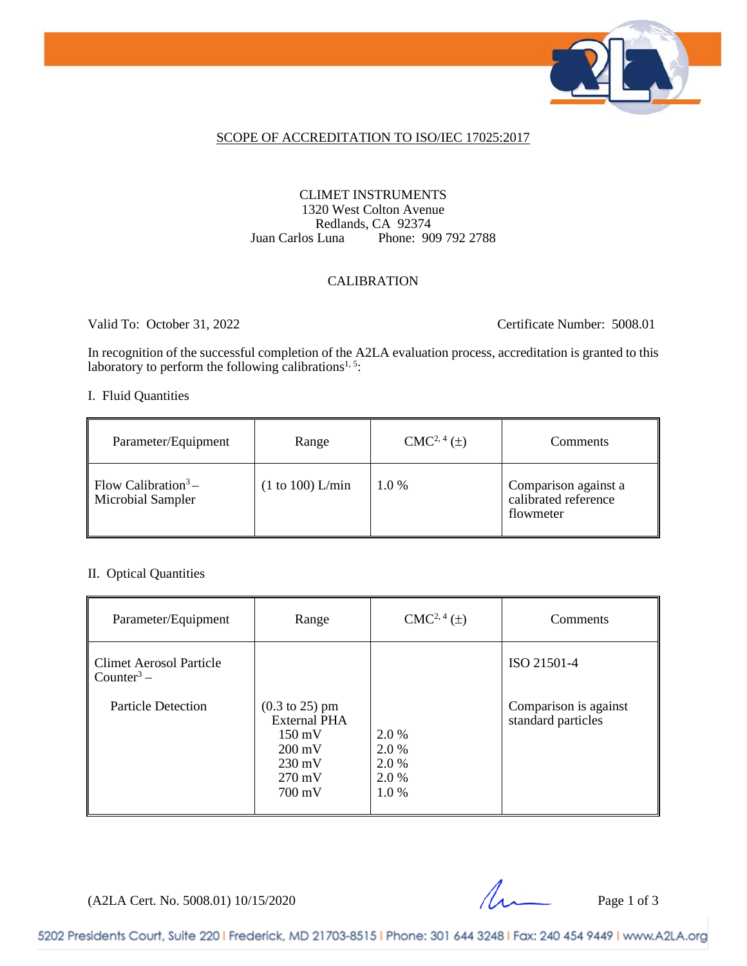

#### SCOPE OF ACCREDITATION TO ISO/IEC 17025:2017

#### CLIMET INSTRUMENTS 1320 West Colton Avenue Redlands, CA 92374<br>Juan Carlos Luna Phone: 90 Phone: 909 792 2788

#### CALIBRATION

Valid To: October 31, 2022 Certificate Number: 5008.01

In recognition of the successful completion of the A2LA evaluation process, accreditation is granted to this laboratory to perform the following calibrations<sup>1, 5</sup>:

#### I. Fluid Quantities

| Parameter/Equipment                                  | Range            | $CMC2, 4(\pm)$ | <b>Comments</b>                                           |
|------------------------------------------------------|------------------|----------------|-----------------------------------------------------------|
| Flow Calibration <sup>3</sup> –<br>Microbial Sampler | (1 to 100) L/min | $1.0\%$        | Comparison against a<br>calibrated reference<br>flowmeter |

#### II. Optical Quantities

| Parameter/Equipment                                      | Range                                                                                                                                                        | $CMC2, 4(\pm)$                          | Comments                                    |
|----------------------------------------------------------|--------------------------------------------------------------------------------------------------------------------------------------------------------------|-----------------------------------------|---------------------------------------------|
| <b>Climet Aerosol Particle</b><br>Counter <sup>3</sup> – |                                                                                                                                                              |                                         | ISO 21501-4                                 |
| <b>Particle Detection</b>                                | $(0.3 \text{ to } 25) \text{ pm}$<br><b>External PHA</b><br>$150 \text{ mV}$<br>$200 \text{ mV}$<br>$230 \text{ mV}$<br>$270 \text{ mV}$<br>$700 \text{ mV}$ | 2.0 %<br>2.0 %<br>2.0 %<br>2.0%<br>1.0% | Comparison is against<br>standard particles |

 $(A2LA$  Cert. No. 5008.01) 10/15/2020 Page 1 of 3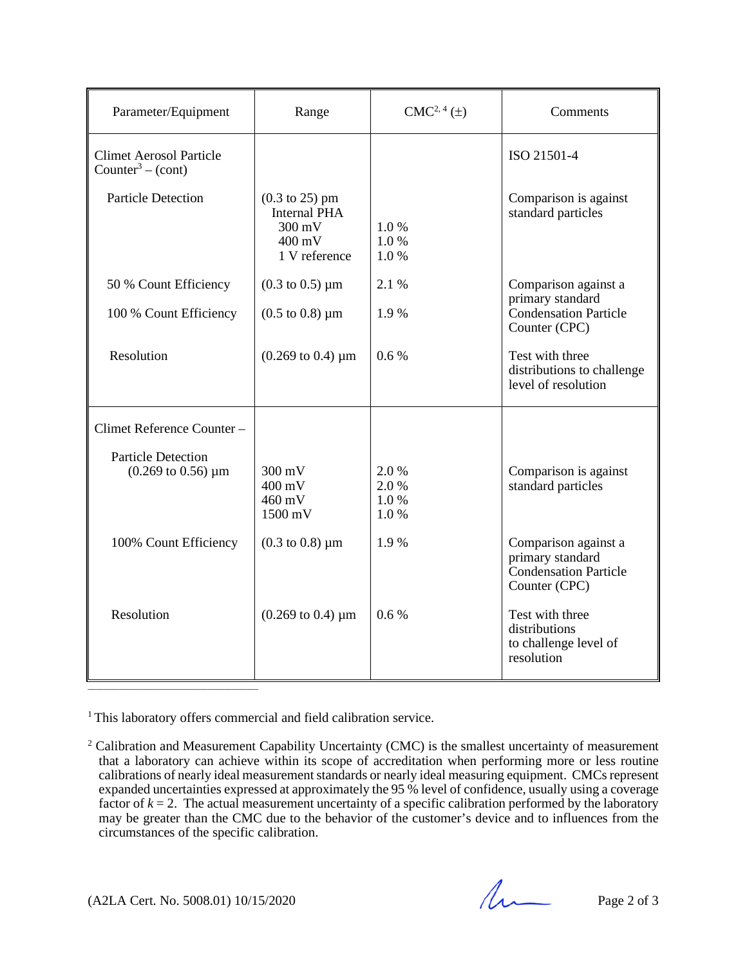| Parameter/Equipment                                                  | Range                                                                                                             | $CMC2, 4(\pm)$               | Comments                                                                           |
|----------------------------------------------------------------------|-------------------------------------------------------------------------------------------------------------------|------------------------------|------------------------------------------------------------------------------------|
| <b>Climet Aerosol Particle</b><br>Counter <sup>3</sup> – (cont)      |                                                                                                                   |                              | ISO 21501-4                                                                        |
| <b>Particle Detection</b>                                            | $(0.3 \text{ to } 25) \text{ pm}$<br><b>Internal PHA</b><br>$300 \text{ mV}$<br>$400 \text{ mV}$<br>1 V reference | 1.0%<br>1.0%<br>1.0%         | Comparison is against<br>standard particles                                        |
| 50 % Count Efficiency                                                | $(0.3 \text{ to } 0.5) \mu m$                                                                                     | 2.1 %                        | Comparison against a                                                               |
| 100 % Count Efficiency                                               | $(0.5 \text{ to } 0.8) \mu \text{m}$                                                                              | 1.9%                         | primary standard<br>Condensation Particle<br>Counter (CPC)                         |
| Resolution                                                           | $(0.269 \text{ to } 0.4) \mu \text{m}$                                                                            | 0.6%                         | Test with three<br>distributions to challenge<br>level of resolution               |
| Climet Reference Counter-                                            |                                                                                                                   |                              |                                                                                    |
| <b>Particle Detection</b><br>$(0.269 \text{ to } 0.56) \mu \text{m}$ | $300 \text{ mV}$<br>400 mV<br>460 mV<br>1500 mV                                                                   | 2.0%<br>2.0%<br>1.0%<br>1.0% | Comparison is against<br>standard particles                                        |
| 100% Count Efficiency                                                | $(0.3 \text{ to } 0.8) \mu \text{m}$                                                                              | 1.9%                         | Comparison against a<br>primary standard<br>Condensation Particle<br>Counter (CPC) |
| Resolution                                                           | $(0.269 \text{ to } 0.4) \mu \text{m}$                                                                            | 0.6%                         | Test with three<br>distributions<br>to challenge level of<br>resolution            |

<sup>1</sup> This laboratory offers commercial and field calibration service.

<sup>&</sup>lt;sup>2</sup> Calibration and Measurement Capability Uncertainty (CMC) is the smallest uncertainty of measurement that a laboratory can achieve within its scope of accreditation when performing more or less routine calibrations of nearly ideal measurement standards or nearly ideal measuring equipment. CMCs represent expanded uncertainties expressed at approximately the 95 % level of confidence, usually using a coverage factor of  $k = 2$ . The actual measurement uncertainty of a specific calibration performed by the laboratory may be greater than the CMC due to the behavior of the customer's device and to influences from the circumstances of the specific calibration.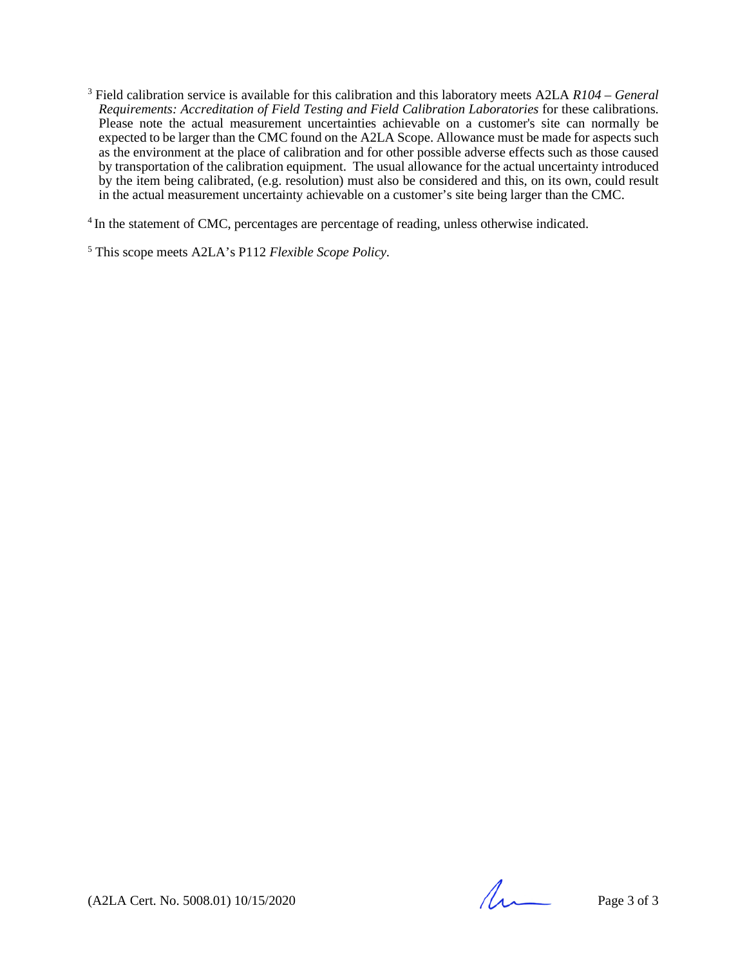<sup>3</sup> Field calibration service is available for this calibration and this laboratory meets A2LA *R104 – General Requirements: Accreditation of Field Testing and Field Calibration Laboratories* for these calibrations. Please note the actual measurement uncertainties achievable on a customer's site can normally be expected to be larger than the CMC found on the A2LA Scope. Allowance must be made for aspects such as the environment at the place of calibration and for other possible adverse effects such as those caused by transportation of the calibration equipment. The usual allowance for the actual uncertainty introduced by the item being calibrated, (e.g. resolution) must also be considered and this, on its own, could result in the actual measurement uncertainty achievable on a customer's site being larger than the CMC.

<sup>4</sup> In the statement of CMC, percentages are percentage of reading, unless otherwise indicated.

<sup>5</sup> This scope meets A2LA's P112 *Flexible Scope Policy.*